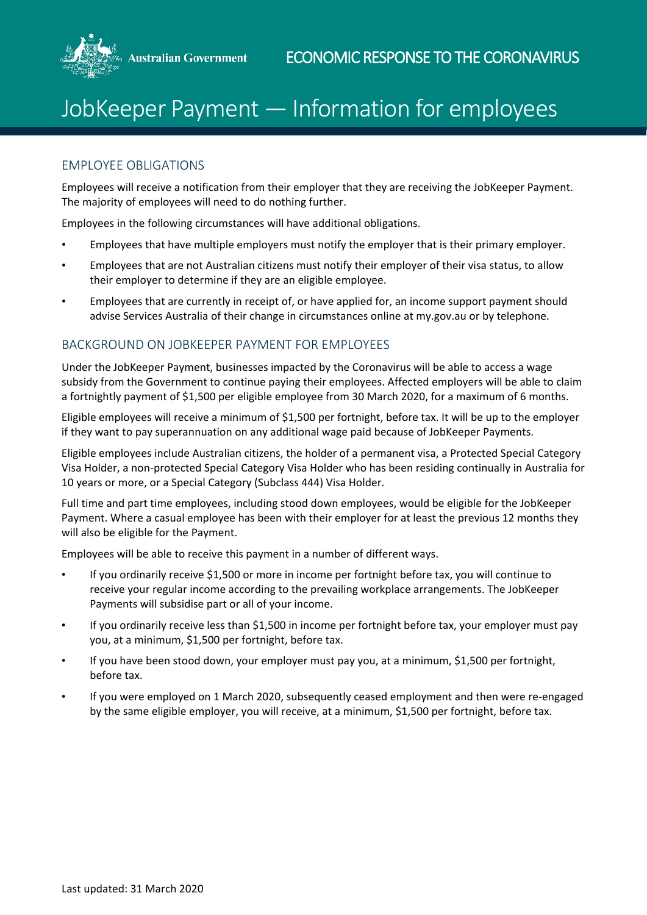

## JobKeeper Payment — Information for employees

## EMPLOYEE OBLIGATIONS

Employees will receive a notification from their employer that they are receiving the JobKeeper Payment. The majority of employees will need to do nothing further.

Employees in the following circumstances will have additional obligations.

- Employees that have multiple employers must notify the employer that is their primary employer.
- Employees that are not Australian citizens must notify their employer of their visa status, to allow their employer to determine if they are an eligible employee.
- Employees that are currently in receipt of, or have applied for, an income support payment should advise Services Australia of their change in circumstances online at my.gov.au or by telephone.

## BACKGROUND ON JOBKEEPER PAYMENT FOR EMPLOYEES

Under the JobKeeper Payment, businesses impacted by the Coronavirus will be able to access a wage subsidy from the Government to continue paying their employees. Affected employers will be able to claim a fortnightly payment of \$1,500 per eligible employee from 30 March 2020, for a maximum of 6 months.

Eligible employees will receive a minimum of \$1,500 per fortnight, before tax. It will be up to the employer if they want to pay superannuation on any additional wage paid because of JobKeeper Payments.

Eligible employees include Australian citizens, the holder of a permanent visa, a Protected Special Category Visa Holder, a non-protected Special Category Visa Holder who has been residing continually in Australia for 10 years or more, or a Special Category (Subclass 444) Visa Holder.

Full time and part time employees, including stood down employees, would be eligible for the JobKeeper Payment. Where a casual employee has been with their employer for at least the previous 12 months they will also be eligible for the Payment.

Employees will be able to receive this payment in a number of different ways.

- If you ordinarily receive \$1,500 or more in income per fortnight before tax, you will continue to receive your regular income according to the prevailing workplace arrangements. The JobKeeper Payments will subsidise part or all of your income.
- If you ordinarily receive less than \$1,500 in income per fortnight before tax, your employer must pay you, at a minimum, \$1,500 per fortnight, before tax.
- If you have been stood down, your employer must pay you, at a minimum, \$1,500 per fortnight, before tax.
- If you were employed on 1 March 2020, subsequently ceased employment and then were re-engaged by the same eligible employer, you will receive, at a minimum, \$1,500 per fortnight, before tax.